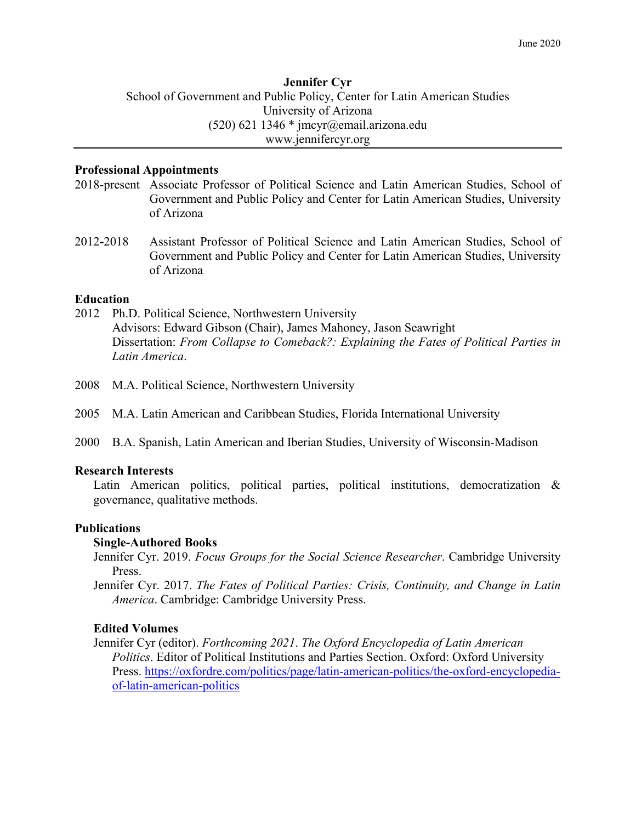# **Jennifer Cyr** School of Government and Public Policy, Center for Latin American Studies University of Arizona  $(520)$  621 1346 \* jmcyr@email.arizona.edu www.jennifercyr.org

### **Professional Appointments**

- 2018-present Associate Professor of Political Science and Latin American Studies, School of Government and Public Policy and Center for Latin American Studies, University of Arizona
- 2012**-**2018 Assistant Professor of Political Science and Latin American Studies, School of Government and Public Policy and Center for Latin American Studies, University of Arizona

### **Education**

- 2012 Ph.D. Political Science, Northwestern University Advisors: Edward Gibson (Chair), James Mahoney, Jason Seawright Dissertation: *From Collapse to Comeback?: Explaining the Fates of Political Parties in Latin America*.
- 2008 M.A. Political Science, Northwestern University
- 2005 M.A. Latin American and Caribbean Studies, Florida International University
- 2000 B.A. Spanish, Latin American and Iberian Studies, University of Wisconsin-Madison

## **Research Interests**

Latin American politics, political parties, political institutions, democratization & governance, qualitative methods.

## **Publications**

## **Single-Authored Books**

Jennifer Cyr. 2019. *Focus Groups for the Social Science Researcher*. Cambridge University Press.

Jennifer Cyr. 2017. *The Fates of Political Parties: Crisis, Continuity, and Change in Latin America*. Cambridge: Cambridge University Press.

## **Edited Volumes**

Jennifer Cyr (editor). *Forthcoming 2021*. *The Oxford Encyclopedia of Latin American Politics*. Editor of Political Institutions and Parties Section. Oxford: Oxford University Press. https://oxfordre.com/politics/page/latin-american-politics/the-oxford-encyclopediaof-latin-american-politics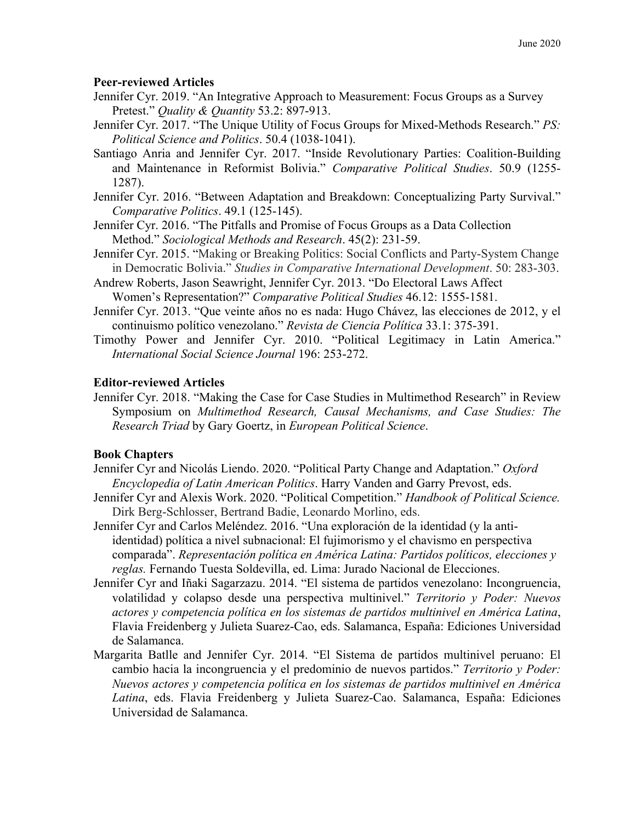# **Peer-reviewed Articles**

- Jennifer Cyr. 2019. "An Integrative Approach to Measurement: Focus Groups as a Survey Pretest." *Quality & Quantity* 53.2: 897-913.
- Jennifer Cyr. 2017. "The Unique Utility of Focus Groups for Mixed-Methods Research." *PS: Political Science and Politics*. 50.4 (1038-1041).
- Santiago Anria and Jennifer Cyr. 2017. "Inside Revolutionary Parties: Coalition-Building and Maintenance in Reformist Bolivia." *Comparative Political Studies*. 50.9 (1255- 1287).
- Jennifer Cyr. 2016. "Between Adaptation and Breakdown: Conceptualizing Party Survival." *Comparative Politics*. 49.1 (125-145).
- Jennifer Cyr. 2016. "The Pitfalls and Promise of Focus Groups as a Data Collection Method." *Sociological Methods and Research*. 45(2): 231-59.
- Jennifer Cyr. 2015. "Making or Breaking Politics: Social Conflicts and Party-System Change in Democratic Bolivia." *Studies in Comparative International Development*. 50: 283-303.
- Andrew Roberts, Jason Seawright, Jennifer Cyr. 2013. "Do Electoral Laws Affect Women's Representation?" *Comparative Political Studies* 46.12: 1555-1581.
- Jennifer Cyr. 2013. "Que veinte años no es nada: Hugo Chávez, las elecciones de 2012, y el continuismo político venezolano." *Revista de Ciencia Política* 33.1: 375-391.
- Timothy Power and Jennifer Cyr. 2010. "Political Legitimacy in Latin America." *International Social Science Journal* 196: 253-272.

# **Editor-reviewed Articles**

Jennifer Cyr. 2018. "Making the Case for Case Studies in Multimethod Research" in Review Symposium on *Multimethod Research, Causal Mechanisms, and Case Studies: The Research Triad* by Gary Goertz, in *European Political Science*.

## **Book Chapters**

- Jennifer Cyr and Nicolás Liendo. 2020. "Political Party Change and Adaptation." *Oxford Encyclopedia of Latin American Politics*. Harry Vanden and Garry Prevost, eds.
- Jennifer Cyr and Alexis Work. 2020. "Political Competition." *Handbook of Political Science.*  Dirk Berg-Schlosser, Bertrand Badie, Leonardo Morlino, eds.
- Jennifer Cyr and Carlos Meléndez. 2016. "Una exploración de la identidad (y la antiidentidad) política a nivel subnacional: El fujimorismo y el chavismo en perspectiva comparada". *Representación política en América Latina: Partidos políticos, elecciones y reglas.* Fernando Tuesta Soldevilla, ed. Lima: Jurado Nacional de Elecciones.
- Jennifer Cyr and Iñaki Sagarzazu. 2014. "El sistema de partidos venezolano: Incongruencia, volatilidad y colapso desde una perspectiva multinivel." *Territorio y Poder: Nuevos actores y competencia política en los sistemas de partidos multinivel en América Latina*, Flavia Freidenberg y Julieta Suarez-Cao, eds. Salamanca, España: Ediciones Universidad de Salamanca.
- Margarita Batlle and Jennifer Cyr. 2014. "El Sistema de partidos multinivel peruano: El cambio hacia la incongruencia y el predominio de nuevos partidos." *Territorio y Poder: Nuevos actores y competencia política en los sistemas de partidos multinivel en América Latina*, eds. Flavia Freidenberg y Julieta Suarez-Cao. Salamanca, España: Ediciones Universidad de Salamanca.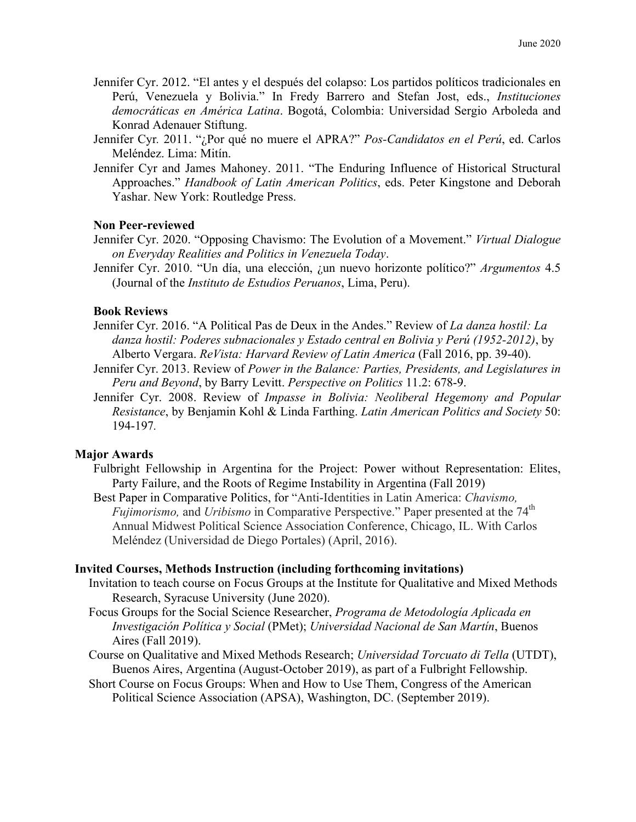- Jennifer Cyr. 2012. "El antes y el después del colapso: Los partidos políticos tradicionales en Perú, Venezuela y Bolivia." In Fredy Barrero and Stefan Jost, eds., *Instituciones democráticas en América Latina*. Bogotá, Colombia: Universidad Sergio Arboleda and Konrad Adenauer Stiftung.
- Jennifer Cyr*.* 2011. "¿Por qué no muere el APRA?" *Pos-Candidatos en el Perú*, ed. Carlos Meléndez. Lima: Mitín.
- Jennifer Cyr and James Mahoney. 2011. "The Enduring Influence of Historical Structural Approaches." *Handbook of Latin American Politics*, eds. Peter Kingstone and Deborah Yashar. New York: Routledge Press.

### **Non Peer-reviewed**

- Jennifer Cyr. 2020. "Opposing Chavismo: The Evolution of a Movement." *Virtual Dialogue on Everyday Realities and Politics in Venezuela Today*.
- Jennifer Cyr. 2010. "Un día, una elección, ¿un nuevo horizonte político?" *Argumentos* 4.5 (Journal of the *Instituto de Estudios Peruanos*, Lima, Peru).

#### **Book Reviews**

- Jennifer Cyr. 2016. "A Political Pas de Deux in the Andes." Review of *La danza hostil: La danza hostil: Poderes subnacionales y Estado central en Bolivia y Perú (1952-2012)*, by Alberto Vergara. *ReVista: Harvard Review of Latin America* (Fall 2016, pp. 39-40).
- Jennifer Cyr. 2013. Review of *Power in the Balance: Parties, Presidents, and Legislatures in Peru and Beyond*, by Barry Levitt. *Perspective on Politics* 11.2: 678-9.
- Jennifer Cyr. 2008. Review of *Impasse in Bolivia: Neoliberal Hegemony and Popular Resistance*, by Benjamin Kohl & Linda Farthing. *Latin American Politics and Society* 50: 194-197*.*

#### **Major Awards**

- Fulbright Fellowship in Argentina for the Project: Power without Representation: Elites, Party Failure, and the Roots of Regime Instability in Argentina (Fall 2019)
- Best Paper in Comparative Politics, for "Anti-Identities in Latin America: *Chavismo, Fujimorismo,* and *Uribismo* in Comparative Perspective." Paper presented at the 74<sup>th</sup> Annual Midwest Political Science Association Conference, Chicago, IL. With Carlos Meléndez (Universidad de Diego Portales) (April, 2016).

#### **Invited Courses, Methods Instruction (including forthcoming invitations)**

- Invitation to teach course on Focus Groups at the Institute for Qualitative and Mixed Methods Research, Syracuse University (June 2020).
- Focus Groups for the Social Science Researcher, *Programa de Metodología Aplicada en Investigación Política y Social* (PMet); *Universidad Nacional de San Martín*, Buenos Aires (Fall 2019).
- Course on Qualitative and Mixed Methods Research; *Universidad Torcuato di Tella* (UTDT), Buenos Aires, Argentina (August-October 2019), as part of a Fulbright Fellowship.
- Short Course on Focus Groups: When and How to Use Them, Congress of the American Political Science Association (APSA), Washington, DC. (September 2019).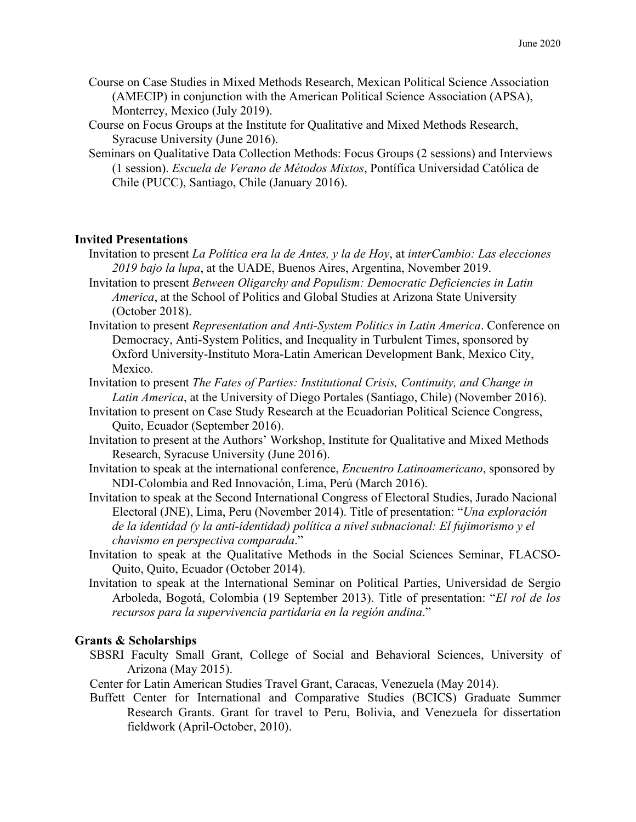- Course on Case Studies in Mixed Methods Research, Mexican Political Science Association (AMECIP) in conjunction with the American Political Science Association (APSA), Monterrey, Mexico (July 2019).
- Course on Focus Groups at the Institute for Qualitative and Mixed Methods Research, Syracuse University (June 2016).
- Seminars on Qualitative Data Collection Methods: Focus Groups (2 sessions) and Interviews (1 session). *Escuela de Verano de Métodos Mixtos*, Pontífica Universidad Católica de Chile (PUCC), Santiago, Chile (January 2016).

## **Invited Presentations**

- Invitation to present *La Política era la de Antes, y la de Hoy*, at *interCambio: Las elecciones 2019 bajo la lupa*, at the UADE, Buenos Aires, Argentina, November 2019.
- Invitation to present *Between Oligarchy and Populism: Democratic Deficiencies in Latin America*, at the School of Politics and Global Studies at Arizona State University (October 2018).
- Invitation to present *Representation and Anti-System Politics in Latin America*. Conference on Democracy, Anti-System Politics, and Inequality in Turbulent Times, sponsored by Oxford University-Instituto Mora-Latin American Development Bank, Mexico City, Mexico.
- Invitation to present *The Fates of Parties: Institutional Crisis, Continuity, and Change in Latin America*, at the University of Diego Portales (Santiago, Chile) (November 2016).
- Invitation to present on Case Study Research at the Ecuadorian Political Science Congress, Quito, Ecuador (September 2016).
- Invitation to present at the Authors' Workshop, Institute for Qualitative and Mixed Methods Research, Syracuse University (June 2016).
- Invitation to speak at the international conference, *Encuentro Latinoamericano*, sponsored by NDI-Colombia and Red Innovación, Lima, Perú (March 2016).
- Invitation to speak at the Second International Congress of Electoral Studies, Jurado Nacional Electoral (JNE), Lima, Peru (November 2014). Title of presentation: "*Una exploración de la identidad (y la anti-identidad) política a nivel subnacional: El fujimorismo y el chavismo en perspectiva comparada*."
- Invitation to speak at the Qualitative Methods in the Social Sciences Seminar, FLACSO-Quito, Quito, Ecuador (October 2014).
- Invitation to speak at the International Seminar on Political Parties, Universidad de Sergio Arboleda, Bogotá, Colombia (19 September 2013). Title of presentation: "*El rol de los recursos para la supervivencia partidaria en la región andina*."

## **Grants & Scholarships**

- SBSRI Faculty Small Grant, College of Social and Behavioral Sciences, University of Arizona (May 2015).
- Center for Latin American Studies Travel Grant, Caracas, Venezuela (May 2014).
- Buffett Center for International and Comparative Studies (BCICS) Graduate Summer Research Grants. Grant for travel to Peru, Bolivia, and Venezuela for dissertation fieldwork (April-October, 2010).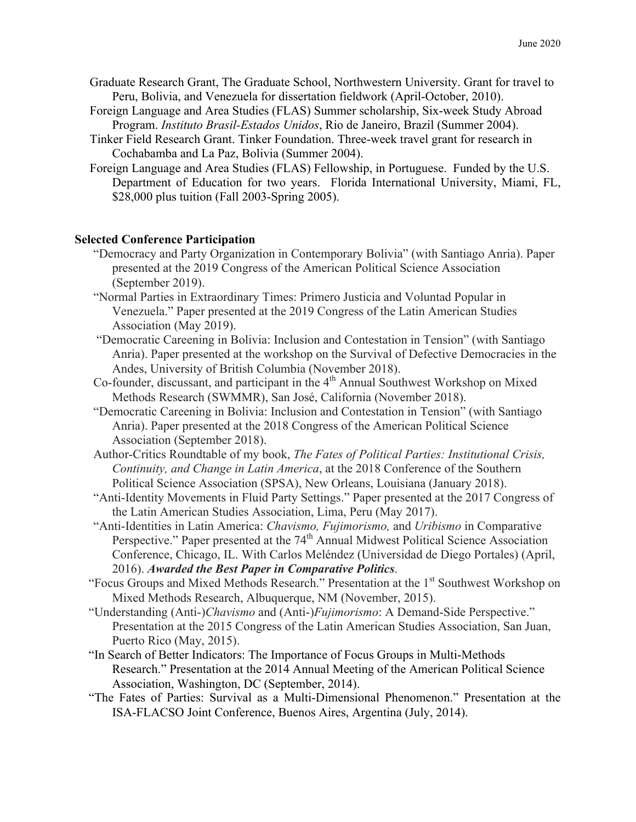- Graduate Research Grant, The Graduate School, Northwestern University. Grant for travel to Peru, Bolivia, and Venezuela for dissertation fieldwork (April-October, 2010).
- Foreign Language and Area Studies (FLAS) Summer scholarship, Six-week Study Abroad Program. *Instituto Brasil-Estados Unidos*, Rio de Janeiro, Brazil (Summer 2004).
- Tinker Field Research Grant. Tinker Foundation. Three-week travel grant for research in Cochabamba and La Paz, Bolivia (Summer 2004).
- Foreign Language and Area Studies (FLAS) Fellowship, in Portuguese. Funded by the U.S. Department of Education for two years. Florida International University, Miami, FL, \$28,000 plus tuition (Fall 2003-Spring 2005).

### **Selected Conference Participation**

- "Democracy and Party Organization in Contemporary Bolivia" (with Santiago Anria). Paper presented at the 2019 Congress of the American Political Science Association (September 2019).
- "Normal Parties in Extraordinary Times: Primero Justicia and Voluntad Popular in Venezuela." Paper presented at the 2019 Congress of the Latin American Studies Association (May 2019).
- "Democratic Careening in Bolivia: Inclusion and Contestation in Tension" (with Santiago Anria). Paper presented at the workshop on the Survival of Defective Democracies in the Andes, University of British Columbia (November 2018).
- Co-founder, discussant, and participant in the  $4<sup>th</sup>$  Annual Southwest Workshop on Mixed Methods Research (SWMMR), San José, California (November 2018).
- "Democratic Careening in Bolivia: Inclusion and Contestation in Tension" (with Santiago Anria). Paper presented at the 2018 Congress of the American Political Science Association (September 2018).
- Author-Critics Roundtable of my book, *The Fates of Political Parties: Institutional Crisis, Continuity, and Change in Latin America*, at the 2018 Conference of the Southern Political Science Association (SPSA), New Orleans, Louisiana (January 2018).
- "Anti-Identity Movements in Fluid Party Settings." Paper presented at the 2017 Congress of the Latin American Studies Association, Lima, Peru (May 2017).
- "Anti-Identities in Latin America: *Chavismo, Fujimorismo,* and *Uribismo* in Comparative Perspective." Paper presented at the 74<sup>th</sup> Annual Midwest Political Science Association Conference, Chicago, IL. With Carlos Meléndez (Universidad de Diego Portales) (April, 2016). *Awarded the Best Paper in Comparative Politics*.
- "Focus Groups and Mixed Methods Research." Presentation at the 1<sup>st</sup> Southwest Workshop on Mixed Methods Research, Albuquerque, NM (November, 2015).
- "Understanding (Anti-)*Chavismo* and (Anti-)*Fujimorismo*: A Demand-Side Perspective." Presentation at the 2015 Congress of the Latin American Studies Association, San Juan, Puerto Rico (May, 2015).
- "In Search of Better Indicators: The Importance of Focus Groups in Multi-Methods Research." Presentation at the 2014 Annual Meeting of the American Political Science Association, Washington, DC (September, 2014).
- "The Fates of Parties: Survival as a Multi-Dimensional Phenomenon." Presentation at the ISA-FLACSO Joint Conference, Buenos Aires, Argentina (July, 2014).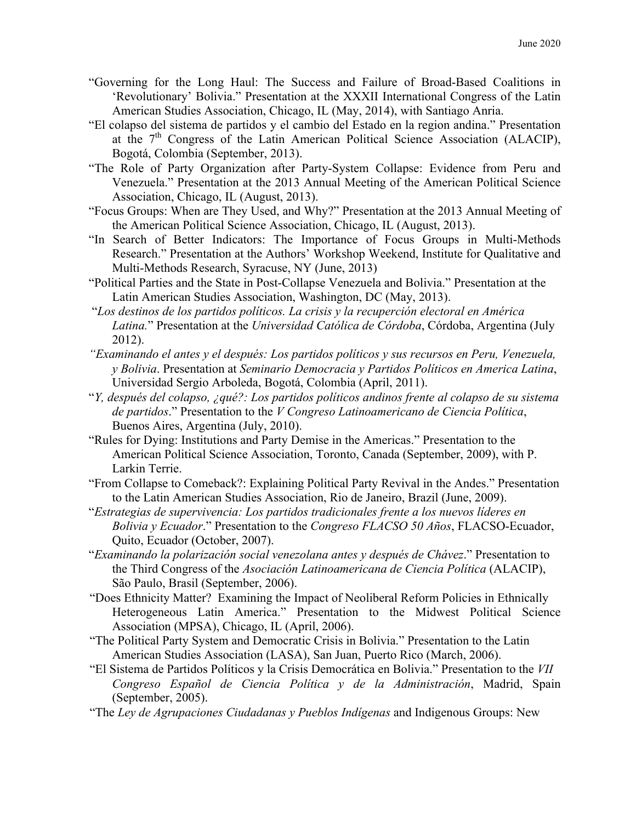- "Governing for the Long Haul: The Success and Failure of Broad-Based Coalitions in 'Revolutionary' Bolivia." Presentation at the XXXII International Congress of the Latin American Studies Association, Chicago, IL (May, 2014), with Santiago Anria.
- "El colapso del sistema de partidos y el cambio del Estado en la region andina." Presentation at the  $7<sup>th</sup>$  Congress of the Latin American Political Science Association (ALACIP), Bogotá, Colombia (September, 2013).
- "The Role of Party Organization after Party-System Collapse: Evidence from Peru and Venezuela." Presentation at the 2013 Annual Meeting of the American Political Science Association, Chicago, IL (August, 2013).
- "Focus Groups: When are They Used, and Why?" Presentation at the 2013 Annual Meeting of the American Political Science Association, Chicago, IL (August, 2013).
- "In Search of Better Indicators: The Importance of Focus Groups in Multi-Methods Research." Presentation at the Authors' Workshop Weekend, Institute for Qualitative and Multi-Methods Research, Syracuse, NY (June, 2013)
- "Political Parties and the State in Post-Collapse Venezuela and Bolivia." Presentation at the Latin American Studies Association, Washington, DC (May, 2013).
- "*Los destinos de los partidos políticos. La crisis y la recuperción electoral en América Latina.*" Presentation at the *Universidad Católica de Córdoba*, Córdoba, Argentina (July 2012).
- *"Examinando el antes y el después: Los partidos políticos y sus recursos en Peru, Venezuela, y Bolivia*. Presentation at *Seminario Democracia y Partidos Políticos en America Latina*, Universidad Sergio Arboleda, Bogotá, Colombia (April, 2011).
- "*Y, después del colapso, ¿qué?: Los partidos políticos andinos frente al colapso de su sistema de partidos*." Presentation to the *V Congreso Latinoamericano de Ciencia Política*, Buenos Aires, Argentina (July, 2010).
- "Rules for Dying: Institutions and Party Demise in the Americas." Presentation to the American Political Science Association, Toronto, Canada (September, 2009), with P. Larkin Terrie.
- "From Collapse to Comeback?: Explaining Political Party Revival in the Andes." Presentation to the Latin American Studies Association, Rio de Janeiro, Brazil (June, 2009).
- "*Estrategias de supervivencia: Los partidos tradicionales frente a los nuevos líderes en Bolivia y Ecuador*." Presentation to the *Congreso FLACSO 50 Años*, FLACSO-Ecuador, Quito, Ecuador (October, 2007).
- "*Examinando la polarización social venezolana antes y después de Chávez*." Presentation to the Third Congress of the *Asociación Latinoamericana de Ciencia Política* (ALACIP), São Paulo, Brasil (September, 2006).
- "Does Ethnicity Matter? Examining the Impact of Neoliberal Reform Policies in Ethnically Heterogeneous Latin America." Presentation to the Midwest Political Science Association (MPSA), Chicago, IL (April, 2006).
- "The Political Party System and Democratic Crisis in Bolivia." Presentation to the Latin American Studies Association (LASA), San Juan, Puerto Rico (March, 2006).
- "El Sistema de Partidos Políticos y la Crisis Democrática en Bolivia." Presentation to the *VII Congreso Español de Ciencia Política y de la Administración*, Madrid, Spain (September, 2005).
- "The *Ley de Agrupaciones Ciudadanas y Pueblos Indígenas* and Indigenous Groups: New